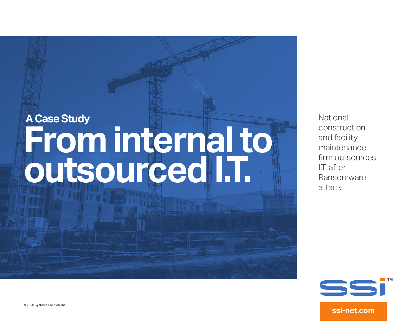# **A Case Study From internal to outsourced I.T.**

**National** construction and facility maintenance firm outsources I.T. after Ransomware attack



**ssi-net.com**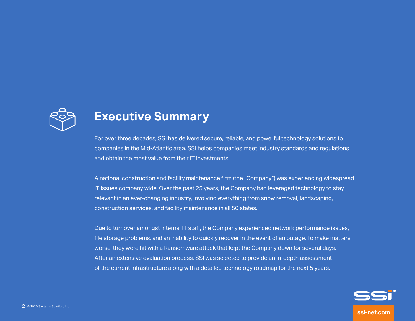

#### **Executive Summary**

For over three decades, SSI has delivered secure, reliable, and powerful technology solutions to companies in the Mid-Atlantic area. SSI helps companies meet industry standards and regulations and obtain the most value from their IT investments.

A national construction and facility maintenance firm (the "Company") was experiencing widespread IT issues company wide. Over the past 25 years, the Company had leveraged technology to stay relevant in an ever-changing industry, involving everything from snow removal, landscaping, construction services, and facility maintenance in all 50 states.

Due to turnover amongst internal IT staff, the Company experienced network performance issues, file storage problems, and an inability to quickly recover in the event of an outage. To make matters worse, they were hit with a Ransomware attack that kept the Company down for several days. After an extensive evaluation process, SSI was selected to provide an in-depth assessment of the current infrastructure along with a detailed technology roadmap for the next 5 years.

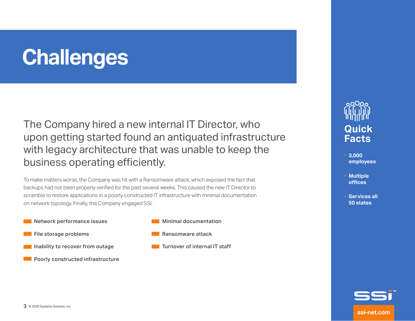### **Challenges**

The Company hired a new internal IT Director, who upon getting started found an antiquated infrastructure with legacy architecture that was unable to keep the business operating efficiently.

To make matters worse, the Company was hit with a Ransomware attack, which exposed the fact that backups had not been properly verified for the past several weeks. This caused the new IT Director to scramble to restore applications in a poorly constructed IT infrastructure with minimal documentation on network topology. Finally, the Company engaged SSI.

- **Network performance issues**
- **File storage problems**
- **Inability to recover from outage** 
	- Poorly constructed infrastructure



- Ransomware attack
- Turnover of internal IT staff



- **3,000 employees**
- **Multiple offices**
- **Services all 50 states**

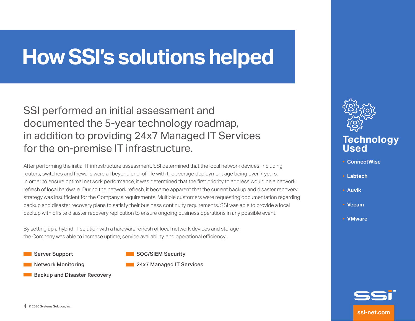### **How SSI's solutions helped**

#### SSI performed an initial assessment and documented the 5-year technology roadmap, in addition to providing 24x7 Managed IT Services for the on-premise IT infrastructure.

After performing the initial IT infrastructure assessment, SSI determined that the local network devices, including routers, switches and firewalls were all beyond end-of-life with the average deployment age being over 7 years. In order to ensure optimal network performance, it was determined that the first priority to address would be a network refresh of local hardware. During the network refresh, it became apparent that the current backup and disaster recovery strategy was insufficient for the Company's requirements. Multiple customers were requesting documentation regarding backup and disaster recovery plans to satisfy their business continuity requirements. SSI was able to provide a local backup with offsite disaster recovery replication to ensure ongoing business operations in any possible event.

By setting up a hybrid IT solution with a hardware refresh of local network devices and storage, the Company was able to increase uptime, service availability, and operational efficiency.

Server Support

SOC/SIEM Security

Network Monitoring

- **24x7 Managed IT Services**
- Backup and Disaster Recovery



- **ConnectWise** •
- **Labtech** •
- **Auvik** •
- **Veeam**  •
- **VMware** •

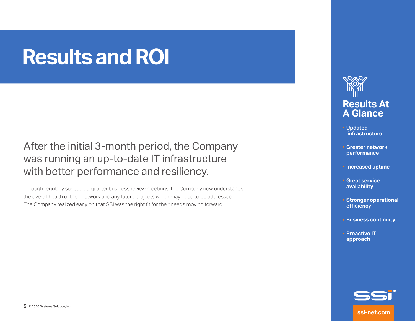### **Results and ROI**

After the initial 3-month period, the Company was running an up-to-date IT infrastructure with better performance and resiliency.

Through regularly scheduled quarter business review meetings, the Company now understands the overall health of their network and any future projects which may need to be addressed. The Company realized early on that SSI was the right fit for their needs moving forward.



- **Updated infrastructure**
- **Greater network performance**
- **Increased uptime**
- **Great service availability**
- **Stronger operational efficiency**
- **Business continuity**
- **Proactive IT approach**